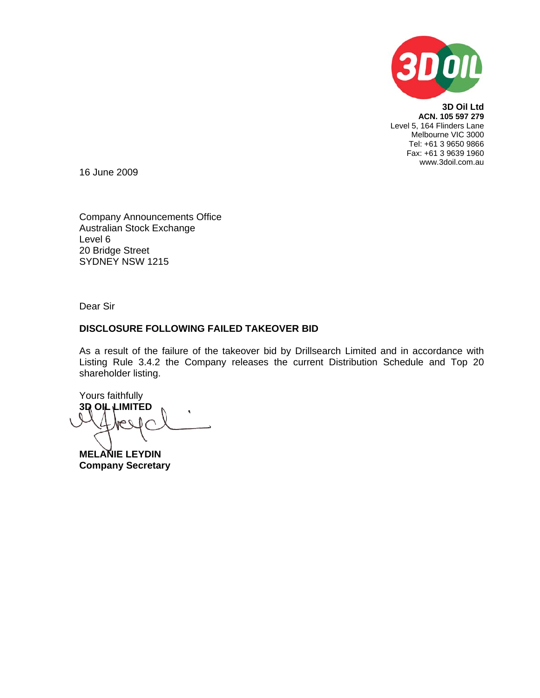

**3D Oil Ltd ACN. 105 597 279**  Level 5, 164 Flinders Lane Melbourne VIC 3000 Tel: +61 3 9650 9866 Fax: +61 3 9639 1960 www.3doil.com.au

16 June 2009

Company Announcements Office Australian Stock Exchange Level 6 20 Bridge Street SYDNEY NSW 1215

Dear Sir

## **DISCLOSURE FOLLOWING FAILED TAKEOVER BID**

As a result of the failure of the takeover bid by Drillsearch Limited and in accordance with Listing Rule 3.4.2 the Company releases the current Distribution Schedule and Top 20 shareholder listing.

Yours faithfully **3D OIL LIMITED** 

**MELANIE LEYDIN Company Secretary**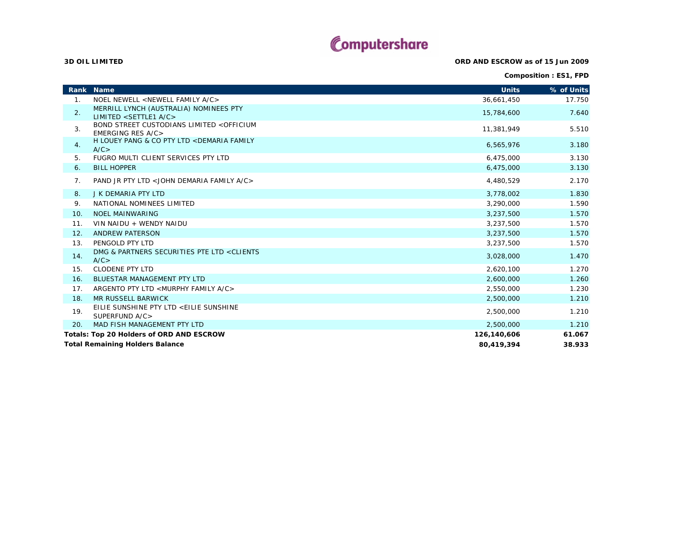## Computershare

**ORD AND ESCROW as of 15 Jun 2009**

**Composition : ES1, FPD**

**Rank Name Units % of Units** 1. NOEL NEWELL <NEWELL FAMILY A/C> 36,661,450 17.750 2. MERRILL LYNCH (AUSTRALIA) NOMINEES PTY LIMITED <SETTLE1 A/C> 15,784,600 7.640 3. BOND STREET CUSTODIANS LIMITED <OFFICIUM EMERGING RES A/C> 11,381,949 5.510 4. H LOUEY PANG & CO PTY LTD <DEMARIA FAMILY  $A/C >$  6,565,976 3.180 5. FUGRO MULTI CLIENT SERVICES PTY LTDD 6,475,000 3.130 6. BILL HOPPERR and the contract of the contract of the contract of the contract of the contract of the contract of the contract of the contract of the contract of the contract of the contract of the contract of the contract of the con 7. PAND JR PTY LTD <JOHN DEMARIA FAMILY A/C> $>$  4,480,529 2.170 8. J K DEMARIA PTY LTD ${\sf D}$  , and the contract of the contract of the contract of the contract of the contract of the contract of the contract of the contract of the contract of the contract of the contract of the contract of the contract of 9. NATIONAL NOMINEES LIMITED 3,290,000 1.590 10. NOEL MAINWARING 3,237,500 1.570 11. VIN NAIDU + WENDY NAIDU 3,237,500 1.570 12. ANDREW PATERSON 3,237,500 1.570 13. PENGOLD PTY LTD 3,237,500 1.570 14. DMG & PARTNERS SECURITIES PTE LTD <CLIENTS  $A/C$ 3,028,000 1.470 من المسلم المسلمين المسلمين المسلمين المسلمين المسلمين المسلمين المسلمين المسلمين المسلمين الم<br>حساب المسلمين المسلمين المسلمين المسلمين المسلمين المسلمين المسلمين المسلمين المسلمين المسلمين المسلمين المسلم 15. CLODENE PTY LTD 2,620,100 1.270 16. BLUESTAR MANAGEMENT PTY LTD 2,600,000 1.260 17. ARGENTO PTY LTD <MURPHY FAMILY A/C>  $>$  2,550,000 1.230 18. MR RUSSELL BARWICKK  $\,$  2,500,000  $\,$  1.210  $\,$ 19. EILIE SUNSHINE PTY LTD <EILIE SUNSHINE SUPERFUND A/C>2,500,000 1.210<br>> 20. MAD FISH MANAGEMENT PTY LTD 2,500,000 1.210 **126,140,606 61.067 Total Remaining Holders Balance 80,419,394 38.933 Totals: Top 20 Holders of ORD AND ESCROW**

**3D OIL LIMITED**